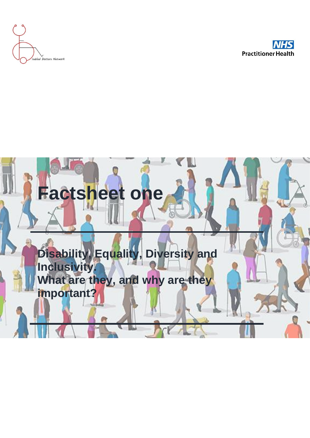



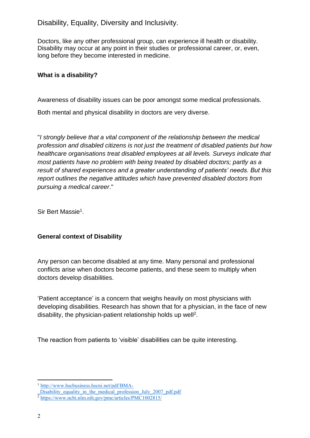Doctors, like any other professional group, can experience ill health or disability. Disability may occur at any point in their studies or professional career, or, even, long before they become interested in medicine.

### **What is a disability?**

Awareness of disability issues can be poor amongst some medical professionals.

Both mental and physical disability in doctors are very diverse.

"*I strongly believe that a vital component of the relationship between the medical profession and disabled citizens is not just the treatment of disabled patients but how healthcare organisations treat disabled employees at all levels. Surveys indicate that most patients have no problem with being treated by disabled doctors; partly as a result of shared experiences and a greater understanding of patients' needs. But this report outlines the negative attitudes which have prevented disabled doctors from pursuing a medical career*."

Sir Bert Massie<sup>1</sup>.

## **General context of Disability**

Any person can become disabled at any time. Many personal and professional conflicts arise when doctors become patients, and these seem to multiply when doctors develop disabilities.

'Patient acceptance' is a concern that weighs heavily on most physicians with developing disabilities. Research has shown that for a physician, in the face of new disability, the physician-patient relationship holds up well<sup>2</sup>.

The reaction from patients to 'visible' disabilities can be quite interesting.

<sup>1</sup> [http://www.hscbusiness.hscni.net/pdf/BMA-](http://www.hscbusiness.hscni.net/pdf/BMA-_Disability_equality_in_the_medical_profession_July_2007_pdf.pdf)

Disability\_equality\_in\_the\_medical\_profession\_July\_2007\_pdf.pdf

 $\sqrt[2]{\text{https://www.ncbi.nlm.nih.gov/pmc/articles/PMC1002815/}}$  $\sqrt[2]{\text{https://www.ncbi.nlm.nih.gov/pmc/articles/PMC1002815/}}$  $\sqrt[2]{\text{https://www.ncbi.nlm.nih.gov/pmc/articles/PMC1002815/}}$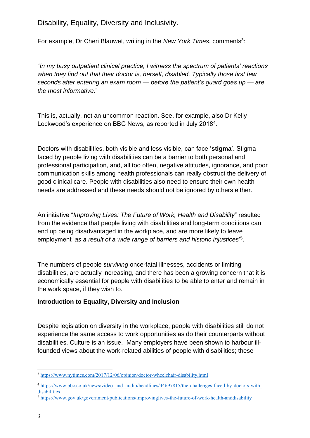For example, Dr Cheri Blauwet, writing in the New York Times, comments<sup>3</sup>:

"*In my busy outpatient clinical practice, I witness the spectrum of patients' reactions when they find out that their doctor is, herself, disabled. Typically those first few seconds after entering an exam room — before the patient's guard goes up — are the most informative*."

This is, actually, not an uncommon reaction. See, for example, also Dr Kelly Lockwood's experience on BBC News, as reported in July 2018<sup>4</sup>.

Doctors with disabilities, both visible and less visible, can face '**stigma**'. Stigma faced by people living with disabilities can be a barrier to both personal and professional participation, and, all too often, negative attitudes, ignorance, and poor communication skills among health professionals can really obstruct the delivery of good clinical care. People with disabilities also need to ensure their own health needs are addressed and these needs should not be ignored by others either.

An initiative "*Improving Lives: The Future of Work, Health and Disability*" resulted from the evidence that people living with disabilities and long-term conditions can end up being disadvantaged in the workplace, and are more likely to leave employment '*as a result of a wide range of barriers and historic injustices*' 5 .

The numbers of people *surviving* once-fatal illnesses, accidents or limiting disabilities, are actually increasing, and there has been a growing concern that it is economically essential for people with disabilities to be able to enter and remain in the work space, if they wish to.

#### **Introduction to Equality, Diversity and Inclusion**

Despite legislation on diversity in the workplace, people with disabilities still do not experience the same access to work opportunities as do their counterparts without disabilities. Culture is an issue. Many employers have been shown to harbour illfounded views about the work-related abilities of people with disabilities; these

<sup>3</sup> <https://www.nytimes.com/2017/12/06/opinion/doctor-wheelchair-disability.html>

<sup>4</sup> [https://www.bbc.co.uk/news/video\\_and\\_audio/headlines/44697815/the-challenges-faced-by-doctors-with](https://www.bbc.co.uk/news/video_and_audio/headlines/44697815/the-challenges-faced-by-doctors-with-disabilities)[disabilities](https://www.bbc.co.uk/news/video_and_audio/headlines/44697815/the-challenges-faced-by-doctors-with-disabilities)

 $\frac{1}{3}$  <https://www.gov.uk/government/publications/improvinglives-the-future-of-work-health-anddisability>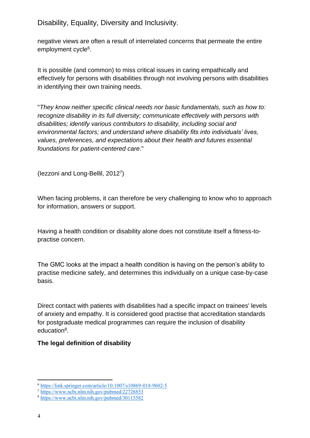negative views are often a result of interrelated concerns that permeate the entire employment cycle<sup>6</sup>.

It is possible (and common) to miss critical issues in caring empathically and effectively for persons with disabilities through not involving persons with disabilities in identifying their own training needs.

"*They know neither specific clinical needs nor basic fundamentals, such as how to: recognize disability in its full diversity; communicate effectively with persons with disabilities; identify various contributors to disability, including social and environmental factors; and understand where disability fits into individuals' lives, values, preferences, and expectations about their health and futures essential foundations for patient-centered care*."

(Iezzoni and Long-Bellil, 2012<sup>7</sup> )

When facing problems, it can therefore be very challenging to know who to approach for information, answers or support.

Having a health condition or disability alone does not constitute itself a fitness-topractise concern.

The GMC looks at the impact a health condition is having on the person's ability to practise medicine safely, and determines this individually on a unique case-by-case basis.

Direct contact with patients with disabilities had a specific impact on trainees' levels of anxiety and empathy. It is considered good practise that accreditation standards for postgraduate medical programmes can require the inclusion of disability education<sup>8</sup>.

#### **The legal definition of disability**

<sup>6</sup> <https://link.springer.com/article/10.1007/s10869-018-9602-5>

<sup>7</sup> <https://www.ncbi.nlm.nih.gov/pubmed/22726853>

<sup>8</sup> <https://www.ncbi.nlm.nih.gov/pubmed/30115582>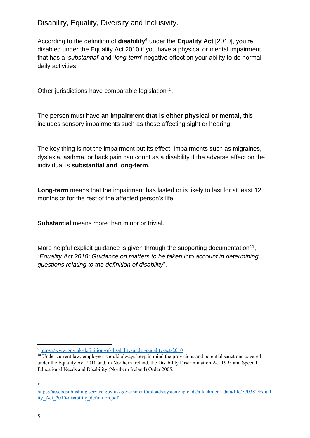According to the definition of **disability<sup>9</sup>** under the **Equality Act** [2010], you're disabled under the Equality Act 2010 if you have a physical or mental impairment that has a '*substantial*' and '*long-term*' negative effect on your ability to do normal daily activities.

Other jurisdictions have comparable legislation $10$ .

The person must have **an impairment that is either physical or mental,** this includes sensory impairments such as those affecting sight or hearing.

The key thing is not the impairment but its effect. Impairments such as migraines, dyslexia, asthma, or back pain can count as a disability if the adverse effect on the individual is **substantial and long-term**.

**Long-term** means that the impairment has lasted or is likely to last for at least 12 months or for the rest of the affected person's life.

**Substantial** means more than minor or trivial.

More helpful explicit guidance is given through the supporting documentation<sup>11</sup>, "*Equality Act 2010: Guidance on matters to be taken into account in determining questions relating to the definition of disability*".

<sup>9</sup> <https://www.gov.uk/definition-of-disability-under-equality-act-2010>

<sup>&</sup>lt;sup>10</sup> Under current law, employers should always keep in mind the provisions and potential sanctions covered under the Equality Act 2010 and, in Northern Ireland, the Disability Discrimination Act 1995 and Special Educational Needs and Disability (Northern Ireland) Order 2005.

<sup>11</sup>

[https://assets.publishing.service.gov.uk/government/uploads/system/uploads/attachment\\_data/file/570382/Equal](https://assets.publishing.service.gov.uk/government/uploads/system/uploads/attachment_data/file/570382/Equality_Act_2010-disability_definition.pdf) ity Act 2010-disability definition.pdf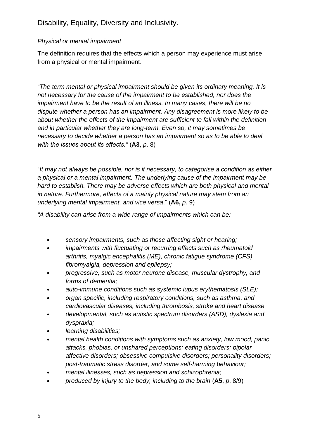### *Physical or mental impairment*

The definition requires that the effects which a person may experience must arise from a physical or mental impairment.

"*The term mental or physical impairment should be given its ordinary meaning. It is not necessary for the cause of the impairment to be established, nor does the impairment have to be the result of an illness. In many cases, there will be no dispute whether a person has an impairment. Any disagreement is more likely to be about whether the effects of the impairment are sufficient to fall within the definition and in particular whether they are long-term. Even so, it may sometimes be necessary to decide whether a person has an impairment so as to be able to deal with the issues about its effects."* (**A3**, *p*. 8)

"*It may not always be possible, nor is it necessary, to categorise a condition as either a physical or a mental impairment. The underlying cause of the impairment may be hard to establish. There may be adverse effects which are both physical and mental in nature. Furthermore, effects of a mainly physical nature may stem from an underlying mental impairment, and vice versa*." (**A6,** *p.* 9)

*"A disability can arise from a wide range of impairments which can be:*

- *sensory impairments, such as those affecting sight or hearing;*
- *impairments with fluctuating or recurring effects such as rheumatoid arthritis, myalgic encephalitis (ME), chronic fatigue syndrome (CFS), fibromyalgia, depression and epilepsy;*
- *progressive, such as motor neurone disease, muscular dystrophy, and forms of dementia;*
- *auto-immune conditions such as systemic lupus erythematosis (SLE);*
- *organ specific, including respiratory conditions, such as asthma, and cardiovascular diseases, including thrombosis, stroke and heart disease*
- *developmental, such as autistic spectrum disorders (ASD), dyslexia and dyspraxia;*
- *learning disabilities;*
- *mental health conditions with symptoms such as anxiety, low mood, panic attacks, phobias, or unshared perceptions; eating disorders; bipolar affective disorders; obsessive compulsive disorders; personality disorders; post-traumatic stress disorder, and some self-harming behaviour;*
- *mental illnesses, such as depression and schizophrenia;*
- *produced by injury to the body, including to the brain* (**A5**, *p*. 8/9)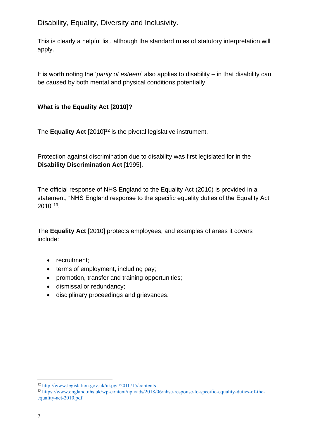This is clearly a helpful list, although the standard rules of statutory interpretation will apply.

It is worth noting the '*parity of esteem*' also applies to disability – in that disability can be caused by both mental and physical conditions potentially.

# **What is the Equality Act [2010]?**

The **Equality Act** [2010]<sup>12</sup> is the pivotal legislative instrument.

Protection against discrimination due to disability was first legislated for in the **Disability Discrimination Act** [1995].

The official response of NHS England to the Equality Act (2010) is provided in a statement, "NHS England response to the specific equality duties of the Equality Act 2010"<sup>13</sup> .

The **Equality Act** [2010] protects employees, and examples of areas it covers include:

- recruitment;
- terms of employment, including pay;
- promotion, transfer and training opportunities:
- dismissal or redundancy;
- disciplinary proceedings and grievances.

<sup>12</sup> <http://www.legislation.gov.uk/ukpga/2010/15/contents>

<sup>13</sup> [https://www.england.nhs.uk/wp-content/uploads/2018/06/nhse-response-to-specific-equality-duties-of-the](https://www.england.nhs.uk/wp-content/uploads/2018/06/nhse-response-to-specific-equality-duties-of-the-equality-act-2010.pdf)[equality-act-2010.pdf](https://www.england.nhs.uk/wp-content/uploads/2018/06/nhse-response-to-specific-equality-duties-of-the-equality-act-2010.pdf)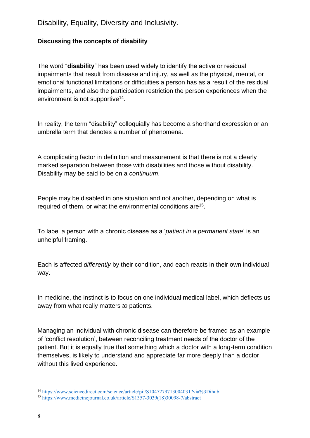#### **Discussing the concepts of disability**

The word "**disability**" has been used widely to identify the active or residual impairments that result from disease and injury, as well as the physical, mental, or emotional functional limitations or difficulties a person has as a result of the residual impairments, and also the participation restriction the person experiences when the environment is not supportive<sup>14</sup>.

In reality, the term "disability" colloquially has become a shorthand expression or an umbrella term that denotes a number of phenomena.

A complicating factor in definition and measurement is that there is not a clearly marked separation between those with disabilities and those without disability. Disability may be said to be on a *continuum*.

People may be disabled in one situation and not another, depending on what is required of them, or what the environmental conditions are<sup>15</sup>.

To label a person with a chronic disease as a '*patient in a permanent state*' is an unhelpful framing.

Each is affected *differently* by their condition, and each reacts in their own individual way.

In medicine, the instinct is to focus on one individual medical label, which deflects us away from what really matters *to* patients.

Managing an individual with chronic disease can therefore be framed as an example of 'conflict resolution', between reconciling treatment needs of the doctor of the patient. But it is equally true that something which a doctor with a long-term condition themselves, is likely to understand and appreciate far more deeply than a doctor without this lived experience.

<sup>14</sup> <https://www.sciencedirect.com/science/article/pii/S1047279713004031?via%3Dihub>

<sup>15</sup> [https://www.medicinejournal.co.uk/article/S1357-3039\(18\)30098-7/abstract](https://www.medicinejournal.co.uk/article/S1357-3039(18)30098-7/abstract)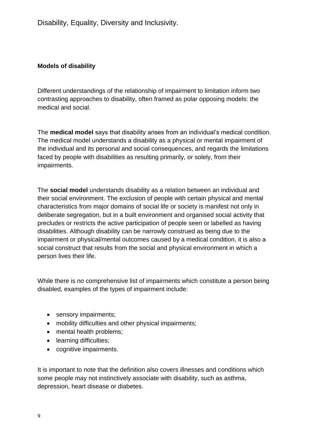### **Models of disability**

Different understandings of the relationship of impairment to limitation inform two contrasting approaches to disability, often framed as polar opposing models: the medical and social.

The **medical model** says that disability arises from an individual's medical condition. The medical model understands a disability as a physical or mental impairment of the individual and its personal and social consequences, and regards the limitations faced by people with disabilities as resulting primarily, or solely, from their impairments.

The **social model** understands disability as a relation between an individual and their social environment. The exclusion of people with certain physical and mental characteristics from major domains of social life or society is manifest not only in deliberate segregation, but in a built environment and organised social activity that precludes or restricts the active participation of people seen or labelled as having disabilities. Although disability can be narrowly construed as being due to the impairment or physical/mental outcomes caused by a medical condition, it is also a social construct that results from the social and physical environment in which a person lives their life.

While there is no comprehensive list of impairments which constitute a person being disabled, examples of the types of impairment include:

- sensory impairments;
- mobility difficulties and other physical impairments;
- mental health problems;
- learning difficulties;
- cognitive impairments.

It is important to note that the definition also covers illnesses and conditions which some people may not instinctively associate with disability, such as asthma, depression, heart disease or diabetes.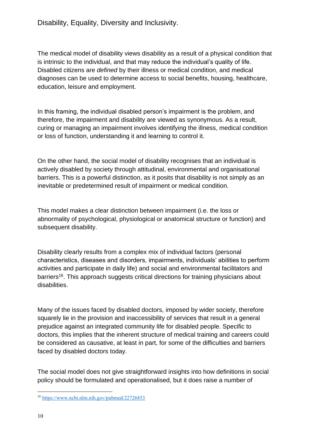The medical model of disability views disability as a result of a physical condition that is intrinsic to the individual, and that may reduce the individual's quality of life. Disabled citizens are *defined* by their illness or medical condition, and medical diagnoses can be used to determine access to social benefits, housing, healthcare, education, leisure and employment.

In this framing, the individual disabled person's impairment is the problem, and therefore, the impairment and disability are viewed as synonymous. As a result, curing or managing an impairment involves identifying the illness, medical condition or loss of function, understanding it and learning to control it.

On the other hand, the social model of disability recognises that an individual is actively disabled by society through attitudinal, environmental and organisational barriers. This is a powerful distinction, as it posits that disability is not simply as an inevitable or predetermined result of impairment or medical condition.

This model makes a clear distinction between impairment (i.e. the loss or abnormality of psychological, physiological or anatomical structure or function) and subsequent disability.

Disability clearly results from a complex mix of individual factors (personal characteristics, diseases and disorders, impairments, individuals' abilities to perform activities and participate in daily life) and social and environmental facilitators and barriers<sup>16</sup>. This approach suggests critical directions for training physicians about disabilities.

Many of the issues faced by disabled doctors, imposed by wider society, therefore squarely lie in the provision and inaccessibility of services that result in a general prejudice against an integrated community life for disabled people. Specific to doctors, this implies that the inherent structure of medical training and careers could be considered as causative, at least in part, for some of the difficulties and barriers faced by disabled doctors today.

The social model does not give straightforward insights into how definitions in social policy should be formulated and operationalised, but it does raise a number of

<sup>16</sup> <https://www.ncbi.nlm.nih.gov/pubmed/22726853>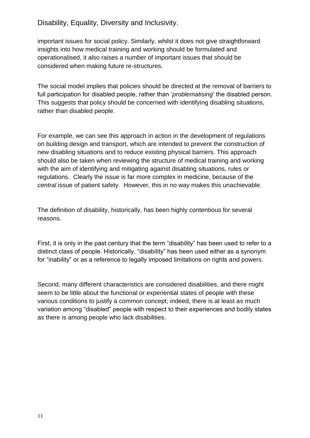important issues for social policy. Similarly, whilst it does not give straightforward insights into how medical training and working should be formulated and operationalised, it also raises a number of important issues that should be considered when making future re-structures.

The social model implies that policies should be directed at the removal of barriers to full participation for disabled people, rather than '*problematising*' the disabled person. This suggests that policy should be concerned with identifying disabling situations, rather than disabled people.

For example, we can see this approach in action in the development of regulations on building design and transport, which are intended to prevent the construction of new disabling situations and to reduce existing physical barriers. This approach should also be taken when reviewing the structure of medical training and working with the aim of identifying and mitigating against disabling situations, rules or regulations. Clearly the issue is far more complex in medicine, because of the *central* issue of patient safety. However, this in no way makes this unachievable.

The definition of disability, historically, has been highly contentious for several reasons.

First, it is only in the past century that the term "disability" has been used to refer to a distinct class of people. Historically, "disability" has been used either as a synonym for "inability" or as a reference to legally imposed limitations on rights and powers.

Second, many different characteristics are considered disabilities, and there might seem to be little about the functional or experiential states of people with these various conditions to justify a common concept; indeed, there is at least as much variation among "disabled" people with respect to their experiences and bodily states as there is among people who lack disabilities.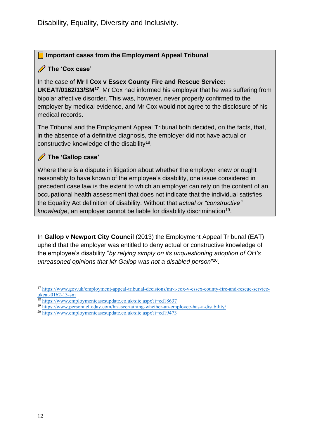## **Important cases from the Employment Appeal Tribunal**

# **The 'Cox case'**

In the case of **Mr I Cox v Essex County Fire and Rescue Service:** 

**UKEAT/0162/13/SM<sup>17</sup>**, Mr Cox had informed his employer that he was suffering from bipolar affective disorder. This was, however, never properly confirmed to the employer by medical evidence, and Mr Cox would not agree to the disclosure of his medical records.

The Tribunal and the Employment Appeal Tribunal both decided, on the facts, that, in the absence of a definitive diagnosis, the employer did not have actual or constructive knowledge of the disability<sup>18</sup>.

# **The 'Gallop case'**

Where there is a dispute in litigation about whether the employer knew or ought reasonably to have known of the employee's disability, one issue considered in precedent case law is the extent to which an employer can rely on the content of an occupational health assessment that does not indicate that the individual satisfies the Equality Act definition of disability. Without that *actual or "constructive"*  knowledge, an employer cannot be liable for disability discrimination<sup>19</sup>.

In **Gallop v Newport City Council** (2013) the Employment Appeal Tribunal (EAT) upheld that the employer was entitled to deny actual or constructive knowledge of the employee's disability "*by relying simply on its unquestioning adoption of OH's unreasoned opinions that Mr Gallop was not a disabled person*" 20 .

<sup>17</sup> [https://www.gov.uk/employment-appeal-tribunal-decisions/mr-i-cox-v-essex-county-fire-and-rescue-service](https://www.gov.uk/employment-appeal-tribunal-decisions/mr-i-cox-v-essex-county-fire-and-rescue-service-ukeat-0162-13-sm)[ukeat-0162-13-sm](https://www.gov.uk/employment-appeal-tribunal-decisions/mr-i-cox-v-essex-county-fire-and-rescue-service-ukeat-0162-13-sm)

<sup>&</sup>lt;sup>18</sup> <https://www.employmentcasesupdate.co.uk/site.aspx?i=ed18637>

<sup>19</sup> <https://www.personneltoday.com/hr/ascertaining-whether-an-employee-has-a-disability/>

<sup>20</sup> <https://www.employmentcasesupdate.co.uk/site.aspx?i=ed19473>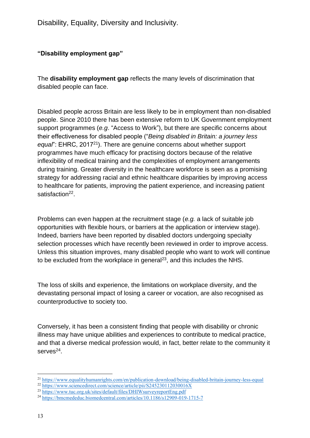# **"Disability employment gap"**

The **disability employment gap** reflects the many levels of discrimination that disabled people can face.

Disabled people across Britain are less likely to be in employment than non-disabled people. Since 2010 there has been extensive reform to UK Government employment support programmes (*e.g*. "Access to Work"), but there are specific concerns about their effectiveness for disabled people ("*Being disabled in Britain: a journey less equal*": EHRC, 2017<sup>21</sup>). There are genuine concerns about whether support programmes have much efficacy for practising doctors because of the relative inflexibility of medical training and the complexities of employment arrangements during training. Greater diversity in the healthcare workforce is seen as a promising strategy for addressing racial and ethnic healthcare disparities by improving access to healthcare for patients, improving the patient experience, and increasing patient satisfaction<sup>22</sup>.

Problems can even happen at the recruitment stage (*e.g.* a lack of suitable job opportunities with flexible hours, or barriers at the application or interview stage). Indeed, barriers have been reported by disabled doctors undergoing specialty selection processes which have recently been reviewed in order to improve access. Unless this situation improves, many disabled people who want to work will continue to be excluded from the workplace in general<sup>23</sup>, and this includes the NHS.

The loss of skills and experience, the limitations on workplace diversity, and the devastating personal impact of losing a career or vocation, are also recognised as counterproductive to society too.

Conversely, it has been a consistent finding that people with disability or chronic illness may have unique abilities and experiences to contribute to medical practice, and that a diverse medical profession would, in fact, better relate to the community it serves<sup>24</sup>.

<sup>21</sup> <https://www.equalityhumanrights.com/en/publication-download/being-disabled-britain-journey-less-equal>

<sup>22</sup> <https://www.sciencedirect.com/science/article/pii/S245230112030016X>

<sup>23</sup> <https://www.tuc.org.uk/sites/default/files/DHIWsurveyreportEng.pdf>

<sup>24</sup> <https://bmcmededuc.biomedcentral.com/articles/10.1186/s12909-019-1715-7>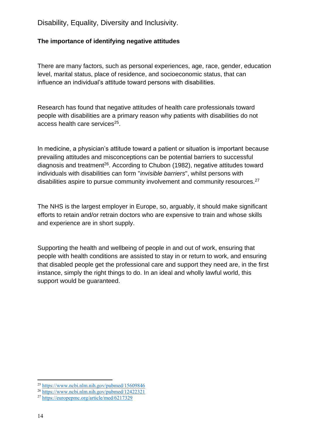#### **The importance of identifying negative attitudes**

There are many factors, such as personal experiences, age, race, gender, education level, marital status, place of residence, and socioeconomic status, that can influence an individual's attitude toward persons with disabilities.

Research has found that negative attitudes of health care professionals toward people with disabilities are a primary reason why patients with disabilities do not access health care services<sup>25</sup>.

In medicine, a physician's attitude toward a patient or situation is important because prevailing attitudes and misconceptions can be potential barriers to successful diagnosis and treatment<sup>26</sup>. According to Chubon (1982), negative attitudes toward individuals with disabilities can form "*invisible barriers*", whilst persons with disabilities aspire to pursue community involvement and community resources.<sup>27</sup>

The NHS is the largest employer in Europe, so, arguably, it should make significant efforts to retain and/or retrain doctors who are expensive to train and whose skills and experience are in short supply.

Supporting the health and wellbeing of people in and out of work, ensuring that people with health conditions are assisted to stay in or return to work, and ensuring that disabled people get the professional care and support they need are, in the first instance, simply the right things to do. In an ideal and wholly lawful world, this support would be guaranteed.

<sup>25</sup> <https://www.ncbi.nlm.nih.gov/pubmed/15609846>

<sup>26</sup> <https://www.ncbi.nlm.nih.gov/pubmed/12422321>

<sup>27</sup> <https://europepmc.org/article/med/6217329>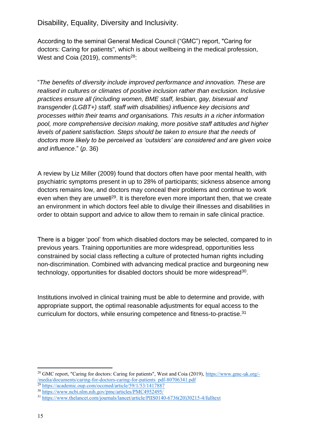According to the seminal General Medical Council ("GMC") report, "Caring for doctors: Caring for patients", which is about wellbeing in the medical profession, West and Coia (2019), comments<sup>28</sup>:

"*The benefits of diversity include improved performance and innovation. These are realised in cultures or climates of positive inclusion rather than exclusion. Inclusive practices ensure all (including women, BME staff, lesbian, gay, bisexual and transgender (LGBT+) staff, staff with disabilities) influence key decisions and processes within their teams and organisations. This results in a richer information pool, more comprehensive decision making, more positive staff attitudes and higher levels of patient satisfaction. Steps should be taken to ensure that the needs of doctors more likely to be perceived as 'outsiders' are considered and are given voice and influence*." (*p*. 36)

A review by Liz Miller (2009) found that doctors often have poor mental health, with psychiatric symptoms present in up to 28% of participants; sickness absence among doctors remains low, and doctors may conceal their problems and continue to work even when they are unwell<sup>29</sup>. It is therefore even more important then, that we create an environment in which doctors feel able to divulge their illnesses and disabilities in order to obtain support and advice to allow them to remain in safe clinical practice.

There is a bigger 'pool' from which disabled doctors may be selected, compared to in previous years. Training opportunities are more widespread, opportunities less constrained by social class reflecting a culture of protected human rights including non-discrimination. Combined with advancing medical practice and burgeoning new technology, opportunities for disabled doctors should be more widespread<sup>30</sup>.

Institutions involved in clinical training must be able to determine and provide, with appropriate support, the optimal reasonable adjustments for equal access to the curriculum for doctors, while ensuring competence and fitness-to-practise.<sup>31</sup>

<sup>28</sup> GMC report, "Caring for doctors: Caring for patients", West and Coia (2019), [https://www.gmc-uk.org/-](https://www.gmc-uk.org/-/media/documents/caring-for-doctors-caring-for-patients_pdf-80706341.pdf) [/media/documents/caring-for-doctors-caring-for-patients\\_pdf-80706341.pdf](https://www.gmc-uk.org/-/media/documents/caring-for-doctors-caring-for-patients_pdf-80706341.pdf)

 $29$  <https://academic.oup.com/occmed/article/59/1/53/1417887>

<sup>30</sup> <https://www.ncbi.nlm.nih.gov/pmc/articles/PMC4952495/>

<sup>31</sup> [https://www.thelancet.com/journals/lancet/article/PIIS0140-6736\(20\)30215-4/fulltext](https://www.thelancet.com/journals/lancet/article/PIIS0140-6736(20)30215-4/fulltext)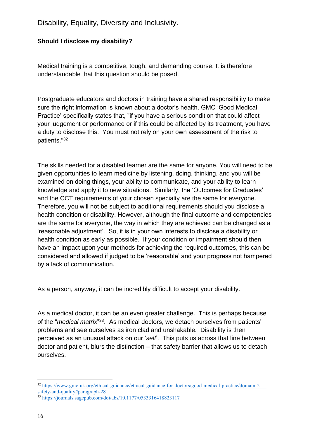#### **Should I disclose my disability?**

Medical training is a competitive, tough, and demanding course. It is therefore understandable that this question should be posed.

Postgraduate educators and doctors in training have a shared responsibility to make sure the right information is known about a doctor's health. GMC 'Good Medical Practice' specifically states that, "if you have a serious condition that could affect your judgement or performance or if this could be affected by its treatment, you have a duty to disclose this. You must not rely on your own assessment of the risk to patients."<sup>32</sup>

The skills needed for a disabled learner are the same for anyone. You will need to be given opportunities to learn medicine by listening, doing, thinking, and you will be examined on doing things, your ability to communicate, and your ability to learn knowledge and apply it to new situations. Similarly, the 'Outcomes for Graduates' and the CCT requirements of your chosen specialty are the same for everyone. Therefore, you will not be subject to additional requirements should you disclose a health condition or disability. However, although the final outcome and competencies are the same for everyone, the way in which they are achieved can be changed as a 'reasonable adjustment'. So, it is in your own interests to disclose a disability or health condition as early as possible. If your condition or impairment should then have an impact upon your methods for achieving the required outcomes, this can be considered and allowed if judged to be 'reasonable' and your progress not hampered by a lack of communication.

As a person, anyway, it can be incredibly difficult to accept your disability.

As a medical doctor, it can be an even greater challenge. This is perhaps because of the "*medical matrix*"<sup>33</sup>. As medical doctors, we detach ourselves from patients' problems and see ourselves as iron clad and unshakable. Disability is then perceived as an unusual attack on our '*self*'. This puts us across that line between doctor and patient, blurs the distinction – that safety barrier that allows us to detach ourselves.

<sup>32</sup> [https://www.gmc-uk.org/ethical-guidance/ethical-guidance-for-doctors/good-medical-practice/domain-2---](https://www.gmc-uk.org/ethical-guidance/ethical-guidance-for-doctors/good-medical-practice/domain-2----safety-and-quality#paragraph-28) [safety-and-quality#paragraph-28](https://www.gmc-uk.org/ethical-guidance/ethical-guidance-for-doctors/good-medical-practice/domain-2----safety-and-quality#paragraph-28)

<sup>33</sup> <https://journals.sagepub.com/doi/abs/10.1177/0533316418823117>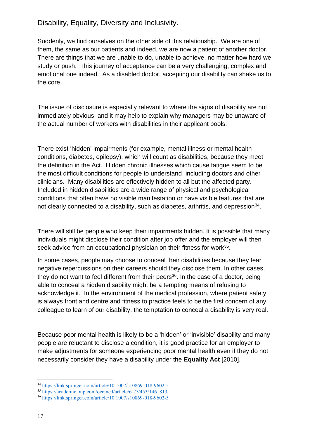Suddenly, we find ourselves on the other side of this relationship. We are one of them, the same as our patients and indeed, we are now a patient of another doctor. There are things that we are unable to do, unable to achieve, no matter how hard we study or push. This journey of acceptance can be a very challenging, complex and emotional one indeed. As a disabled doctor, accepting our disability can shake us to the core.

The issue of disclosure is especially relevant to where the signs of disability are not immediately obvious, and it may help to explain why managers may be unaware of the actual number of workers with disabilities in their applicant pools.

There exist 'hidden' impairments (for example, mental illness or mental health conditions, diabetes, epilepsy), which will count as disabilities, because they meet the definition in the Act. Hidden chronic illnesses which cause fatigue seem to be the most difficult conditions for people to understand, including doctors and other clinicians. Many disabilities are effectively hidden to all but the affected party. Included in hidden disabilities are a wide range of physical and psychological conditions that often have no visible manifestation or have visible features that are not clearly connected to a disability, such as diabetes, arthritis, and depression<sup>34</sup>.

There will still be people who keep their impairments hidden. It is possible that many individuals might disclose their condition after job offer and the employer will then seek advice from an occupational physician on their fitness for work<sup>35</sup>.

In some cases, people may choose to conceal their disabilities because they fear negative repercussions on their careers should they disclose them. In other cases, they do not want to feel different from their peers<sup>36</sup>. In the case of a doctor, being able to conceal a hidden disability might be a tempting means of refusing to acknowledge it. In the environment of the medical profession, where patient safety is always front and centre and fitness to practice feels to be the first concern of any colleague to learn of our disability, the temptation to conceal a disability is very real.

Because poor mental health is likely to be a 'hidden' or 'invisible' disability and many people are reluctant to disclose a condition, it is good practice for an employer to make adjustments for someone experiencing poor mental health even if they do not necessarily consider they have a disability under the **Equality Act** [2010].

<sup>34</sup> <https://link.springer.com/article/10.1007/s10869-018-9602-5>

<sup>35</sup> <https://academic.oup.com/occmed/article/61/7/453/1461813>

<sup>36</sup> <https://link.springer.com/article/10.1007/s10869-018-9602-5>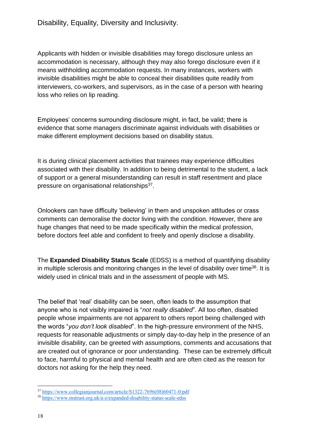Applicants with hidden or invisible disabilities may forego disclosure unless an accommodation is necessary, although they may also forego disclosure even if it means withholding accommodation requests. In many instances, workers with invisible disabilities might be able to conceal their disabilities quite readily from interviewers, co-workers, and supervisors, as in the case of a person with hearing loss who relies on lip reading.

Employees' concerns surrounding disclosure might, in fact, be valid; there is evidence that some managers discriminate against individuals with disabilities or make different employment decisions based on disability status.

It is during clinical placement activities that trainees may experience difficulties associated with their disability. In addition to being detrimental to the student, a lack of support or a general misunderstanding can result in staff resentment and place pressure on organisational relationships<sup>37</sup>.

Onlookers can have difficulty 'believing' in them and unspoken attitudes or crass comments can demoralise the doctor living with the condition. However, there are huge changes that need to be made specifically within the medical profession, before doctors feel able and confident to freely and openly disclose a disability.

The **Expanded Disability Status Scale** (EDSS) is a method of quantifying disability in multiple sclerosis and monitoring changes in the level of disability over time<sup>38</sup>. It is widely used in clinical trials and in the assessment of people with MS.

The belief that 'real' disability can be seen, often leads to the assumption that anyone who is not visibly impaired is "*not really disabled*". All too often, disabled people whose impairments are not apparent to others report being challenged with the words "*you don't look disabled*". In the high-pressure environment of the NHS, requests for reasonable adjustments or simply day-to-day help in the presence of an invisible disability, can be greeted with assumptions, comments and accusations that are created out of ignorance or poor understanding. These can be extremely difficult to face, harmful to physical and mental health and are often cited as the reason for doctors not asking for the help they need.

<sup>37</sup> [https://www.collegianjournal.com/article/S1322-7696\(08\)60471-0/pdf](https://www.collegianjournal.com/article/S1322-7696(08)60471-0/pdf)

<sup>38</sup> <https://www.mstrust.org.uk/a-z/expanded-disability-status-scale-edss>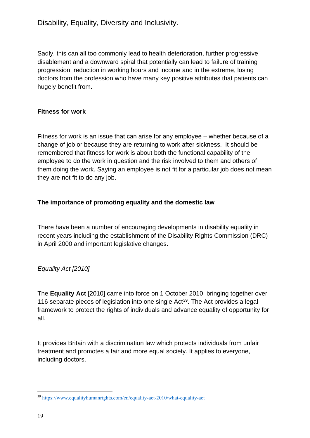Sadly, this can all too commonly lead to health deterioration, further progressive disablement and a downward spiral that potentially can lead to failure of training progression, reduction in working hours and income and in the extreme, losing doctors from the profession who have many key positive attributes that patients can hugely benefit from.

## **Fitness for work**

Fitness for work is an issue that can arise for any employee – whether because of a change of job or because they are returning to work after sickness. It should be remembered that fitness for work is about both the functional capability of the employee to do the work in question and the risk involved to them and others of them doing the work. Saying an employee is not fit for a particular job does not mean they are not fit to do any job.

### **The importance of promoting equality and the domestic law**

There have been a number of encouraging developments in disability equality in recent years including the establishment of the Disability Rights Commission (DRC) in April 2000 and important legislative changes.

## *Equality Act [2010]*

The **Equality Act** [2010] came into force on 1 October 2010, bringing together over 116 separate pieces of legislation into one single Act<sup>39</sup>. The Act provides a legal framework to protect the rights of individuals and advance equality of opportunity for all.

It provides Britain with a discrimination law which protects individuals from unfair treatment and promotes a fair and more equal society. It applies to everyone, including doctors.

<sup>39</sup> <https://www.equalityhumanrights.com/en/equality-act-2010/what-equality-act>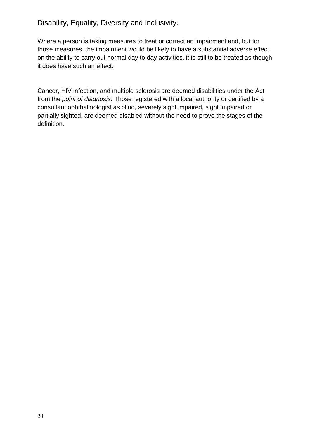Where a person is taking measures to treat or correct an impairment and, but for those measures, the impairment would be likely to have a substantial adverse effect on the ability to carry out normal day to day activities, it is still to be treated as though it does have such an effect.

Cancer, HIV infection, and multiple sclerosis are deemed disabilities under the Act from the *point of diagnosis*. Those registered with a local authority or certified by a consultant ophthalmologist as blind, severely sight impaired, sight impaired or partially sighted, are deemed disabled without the need to prove the stages of the definition.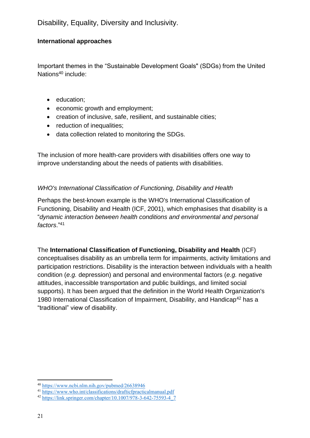## **International approaches**

Important themes in the "Sustainable Development Goals" (SDGs) from the United Nations<sup>40</sup> include:

- education;
- economic growth and employment;
- creation of inclusive, safe, resilient, and sustainable cities:
- reduction of inequalities;
- data collection related to monitoring the SDGs.

The inclusion of more health-care providers with disabilities offers one way to improve understanding about the needs of patients with disabilities.

## *WHO's International Classification of Functioning, Disability and Health*

Perhaps the best-known example is the WHO's International Classification of Functioning, Disability and Health (ICF, 2001), which emphasises that disability is a "*dynamic interaction between health conditions and environmental and personal factors*."<sup>41</sup>

The **International Classification of Functioning, Disability and Health** (ICF) conceptualises disability as an umbrella term for impairments, activity limitations and participation restrictions. Disability is the interaction between individuals with a health condition (*e.g.* depression) and personal and environmental factors (*e.g.* negative attitudes, inaccessible transportation and public buildings, and limited social supports). It has been argued that the definition in the World Health Organization's 1980 International Classification of Impairment, Disability, and Handicap<sup>42</sup> has a "traditional" view of disability.

<sup>40</sup> <https://www.ncbi.nlm.nih.gov/pubmed/26638946>

<sup>41</sup> <https://www.who.int/classifications/drafticfpracticalmanual.pdf>

<sup>42</sup> [https://link.springer.com/chapter/10.1007/978-3-642-75593-4\\_7](https://link.springer.com/chapter/10.1007/978-3-642-75593-4_7)